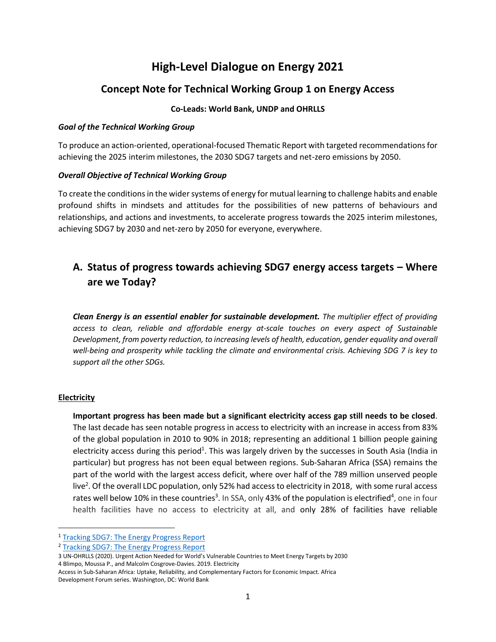# **High-Level Dialogue on Energy 2021**

### **Concept Note for Technical Working Group 1 on Energy Access**

#### **Co-Leads: World Bank, UNDP and OHRLLS**

#### *Goal of the Technical Working Group*

To produce an action-oriented, operational-focused Thematic Report with targeted recommendations for achieving the 2025 interim milestones, the 2030 SDG7 targets and net-zero emissions by 2050.

#### *Overall Objective of Technical Working Group*

To create the conditions in the wider systems of energy for mutual learning to challenge habits and enable profound shifts in mindsets and attitudes for the possibilities of new patterns of behaviours and relationships, and actions and investments, to accelerate progress towards the 2025 interim milestones, achieving SDG7 by 2030 and net-zero by 2050 for everyone, everywhere.

# **A. Status of progress towards achieving SDG7 energy access targets – Where are we Today?**

*Clean Energy is an essential enabler for sustainable development. The multiplier effect of providing access to clean, reliable and affordable energy at-scale touches on every aspect of Sustainable Development, from poverty reduction, to increasing levels of health, education, gender equality and overall well-being and prosperity while tackling the climate and environmental crisis. Achieving SDG 7 is key to support all the other SDGs.*

#### **Electricity**

**Important progress has been made but a significant electricity access gap still needs to be closed**. The last decade has seen notable progress in access to electricity with an increase in access from 83% of the global population in 2010 to 90% in 2018; representing an additional 1 billion people gaining electricity access during this period<sup>1</sup>. This was largely driven by the successes in South Asia (India in particular) but progress has not been equal between regions. Sub-Saharan Africa (SSA) remains the part of the world with the largest access deficit, where over half of the 789 million unserved people live<sup>2</sup>. Of the overall LDC population, only 52% had access to electricity in 2018, with some rural access rates well below 10% in these countries<sup>3</sup>. In SSA, only 43% of the population is electrified<sup>4</sup>, one in four health facilities have no access to electricity at all, and only 28% of facilities have reliable

<sup>1</sup> [Tracking SDG7: The Energy Progress Report](https://trackingsdg7.esmap.org/)

<sup>2</sup> [Tracking SDG7: The Energy Progress Report](https://trackingsdg7.esmap.org/)

<sup>3</sup> UN-OHRLLS (2020). Urgent Action Ne[eded for World's Vulnerable Countries to Meet Energy Targets by 2030](https://www.un.org/ohrlls/news/urgent-action-needed-world%E2%80%99s-vulnerable-countries-meet-energy-targets-2030) 4 Blimpo, Moussa P., and Malcolm Cosgrove-Davies. 2019. Electricity

Access in Sub-Saharan Africa: Uptake, Reliability, and Complementary Factors for Economic Impact. Africa Development Forum series. Washington, DC: World Bank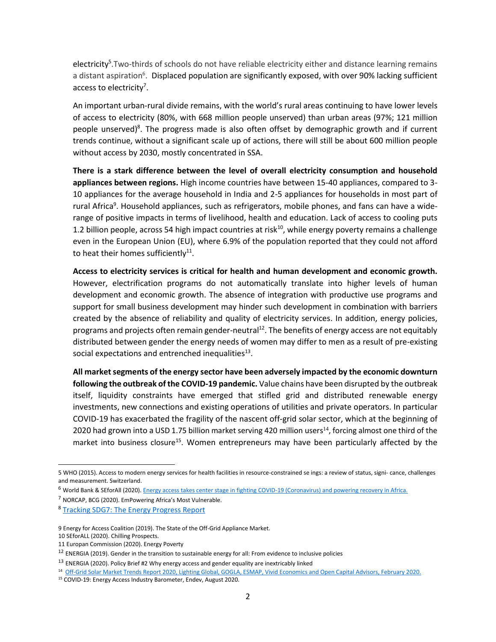electricity<sup>5</sup>. Two-thirds of schools do not have reliable electricity either and distance learning remains a distant aspiration<sup>6</sup>. Displaced population are significantly exposed, with over 90% lacking sufficient access to electricity<sup>7</sup>.

An important urban-rural divide remains, with the world's rural areas continuing to have lower levels of access to electricity (80%, with 668 million people unserved) than urban areas (97%; 121 million people unserved)<sup>8</sup>. The progress made is also often offset by demographic growth and if current trends continue, without a significant scale up of actions, there will still be about 600 million people without access by 2030, mostly concentrated in SSA.

**There is a stark difference between the level of overall electricity consumption and household appliances between regions.** High income countries have between 15-40 appliances, compared to 3- 10 appliances for the average household in India and 2-5 appliances for households in most part of rural Africa<sup>9</sup>. Household appliances, such as refrigerators, mobile phones, and fans can have a widerange of positive impacts in terms of livelihood, health and education. Lack of access to cooling puts 1.2 billion people, across 54 high impact countries at risk<sup>10</sup>, while energy poverty remains a challenge even in the European Union (EU), where 6.9% of the population reported that they could not afford to heat their homes sufficiently $^{11}$ .

**Access to electricity services is critical for health and human development and economic growth.**  However, electrification programs do not automatically translate into higher levels of human development and economic growth. The absence of integration with productive use programs and support for small business development may hinder such development in combination with barriers created by the absence of reliability and quality of electricity services. In addition, energy policies, programs and projects often remain gender-neutral<sup>12</sup>. The benefits of energy access are not equitably distributed between gender the energy needs of women may differ to men as a result of pre-existing social expectations and entrenched inequalities $^{13}$ .

**All market segments of the energy sector have been adversely impacted by the economic downturn following the outbreak of the COVID-19 pandemic.** Value chains have been disrupted by the outbreak itself, liquidity constraints have emerged that stifled grid and distributed renewable energy investments, new connections and existing operations of utilities and private operators. In particular COVID-19 has exacerbated the fragility of the nascent off-grid solar sector, which at the beginning of 2020 had grown into a USD 1.75 billion market serving 420 million users<sup>14</sup>, forcing almost one third of the market into business closure<sup>15</sup>. Women entrepreneurs may have been particularly affected by the

<sup>5</sup> WHO (2015). Access to modern energy services for health facilities in resource-constrained se ings: a review of status, signi- cance, challenges and measurement. Switzerland.

<sup>&</sup>lt;sup>6</sup> World Bank & SEforAll (2020)[. Energy access takes center stage in fighting COVID-19 \(Coronavirus\) and powering recovery in Africa.](https://www.worldbank.org/en/news/opinion/2020/04/22/energy-access-critical-to-overcoming-covid-19-in-africa)

<sup>7</sup> NORCAP, BCG (2020). EmPowering Africa's Most Vulnerable.

<sup>&</sup>lt;sup>8</sup> [Tracking SDG7: The Energy Progress Report](https://trackingsdg7.esmap.org/)

<sup>9</sup> Energy for Access Coalition (2019). The State of the Off-Grid Appliance Market.

<sup>10</sup> SEforALL (2020). Chilling Prospects.

<sup>11</sup> [Europan Commission \(2020\). Energy Poverty](https://ec.europa.eu/energy/topics/markets-and-consumers/energy-consumer-rights/energy-poverty_en)

<sup>&</sup>lt;sup>12</sup> ENERGIA (2019). Gender in the transition to sustainable energy for all: From evidence to inclusive policies

<sup>&</sup>lt;sup>13</sup> ENERGIA (2020). Policy Brief #2 Why energy access and gender equality are inextricably linked

<sup>14</sup>  [Off-Grid Solar Market Trends Report 2020, Lighting Global, GOGLA, ESMAP, Vivid Economics and Open Capital Advisors, February 2020.](https://www.lightingglobal.org/wp-content/uploads/2020/02/14005VIV_OFF-GRID-SOLAR-REPORT-V13-Exec-Sum-AW4vis.pdf)

<sup>15</sup> COVID-19: Energy Access Industry Barometer, Endev, August 2020.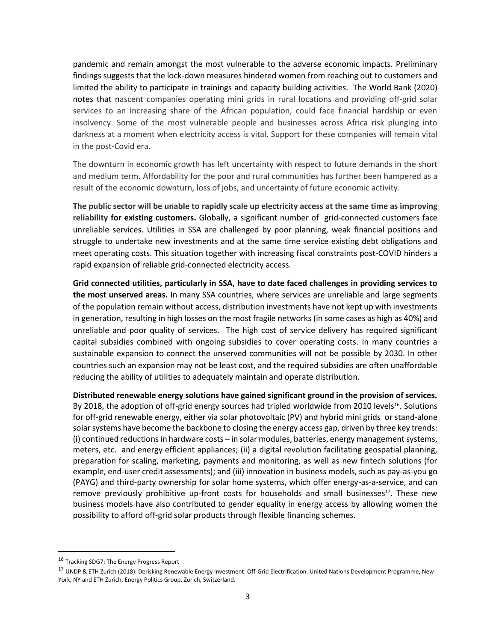pandemic and remain amongst the most vulnerable to the adverse economic impacts. Preliminary findings suggests that the lock-down measures hindered women from reaching out to customers and limited the ability to participate in trainings and capacity building activities. The World Bank (2020) notes that nascent companies operating mini grids in rural locations and providing off-grid solar services to an increasing share of the African population, could face financial hardship or even insolvency. Some of the most vulnerable people and businesses across Africa risk plunging into darkness at a moment when electricity access is vital. Support for these companies will remain vital in the post-Covid era.

The downturn in economic growth has left uncertainty with respect to future demands in the short and medium term. Affordability for the poor and rural communities has further been hampered as a result of the economic downturn, loss of jobs, and uncertainty of future economic activity.

**The public sector will be unable to rapidly scale up electricity access at the same time as improving reliability for existing customers.** Globally, a significant number of grid-connected customers face unreliable services. Utilities in SSA are challenged by poor planning, weak financial positions and struggle to undertake new investments and at the same time service existing debt obligations and meet operating costs. This situation together with increasing fiscal constraints post-COVID hinders a rapid expansion of reliable grid-connected electricity access.

**Grid connected utilities, particularly in SSA, have to date faced challenges in providing services to the most unserved areas.** In many SSA countries, where services are unreliable and large segments of the population remain without access, distribution investments have not kept up with investments in generation, resulting in high losses on the most fragile networks (in some cases as high as 40%) and unreliable and poor quality of services. The high cost of service delivery has required significant capital subsidies combined with ongoing subsidies to cover operating costs. In many countries a sustainable expansion to connect the unserved communities will not be possible by 2030. In other countries such an expansion may not be least cost, and the required subsidies are often unaffordable reducing the ability of utilities to adequately maintain and operate distribution.

**Distributed renewable energy solutions have gained significant ground in the provision of services.** By 2018, the adoption of off-grid energy sources had tripled worldwide from 2010 levels<sup>16</sup>. Solutions for off-grid renewable energy, either via solar photovoltaic (PV) and hybrid mini grids or stand-alone solar systems have become the backbone to closing the energy access gap, driven by three key trends: (i) continued reductions in hardware costs – in solar modules, batteries, energy management systems, meters, etc. and energy efficient appliances; (ii) a digital revolution facilitating geospatial planning, preparation for scaling, marketing, payments and monitoring, as well as new fintech solutions (for example, end-user credit assessments); and (iii) innovation in business models, such as pay-as-you go (PAYG) and third-party ownership for solar home systems, which offer energy-as-a-service, and can remove previously prohibitive up-front costs for households and small businesses<sup>17</sup>. These new business models have also contributed to gender equality in energy access by allowing women the possibility to afford off-grid solar products through flexible financing schemes.

<sup>16</sup> Tracking SDG7: The Energy Progress Report

<sup>17</sup> UNDP & ETH Zurich (2018). Derisking Renewable Energy Investment: Off-Grid Electrification. United Nations Development Programme, New York, NY and ETH Zurich, Energy Politics Group, Zurich, Switzerland.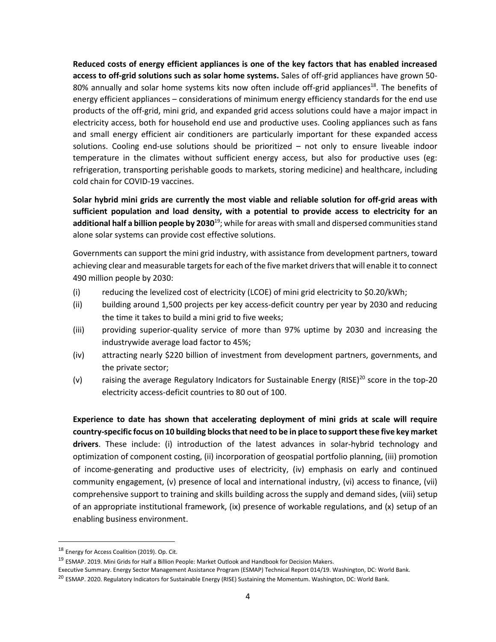**Reduced costs of energy efficient appliances is one of the key factors that has enabled increased access to off-grid solutions such as solar home systems.** Sales of off-grid appliances have grown 50- 80% annually and solar home systems kits now often include off-grid appliances<sup>18</sup>. The benefits of energy efficient appliances – considerations of minimum energy efficiency standards for the end use products of the off-grid, mini grid, and expanded grid access solutions could have a major impact in electricity access, both for household end use and productive uses. Cooling appliances such as fans and small energy efficient air conditioners are particularly important for these expanded access solutions. Cooling end-use solutions should be prioritized – not only to ensure liveable indoor temperature in the climates without sufficient energy access, but also for productive uses (eg: refrigeration, transporting perishable goods to markets, storing medicine) and healthcare, including cold chain for COVID-19 vaccines.

**Solar hybrid mini grids are currently the most viable and reliable solution for off-grid areas with sufficient population and load density, with a potential to provide access to electricity for an**  additional half a billion people by 2030<sup>19</sup>; while for areas with small and dispersed communities stand alone solar systems can provide cost effective solutions.

Governments can support the mini grid industry, with assistance from development partners, toward achieving clear and measurable targets for each of the five market drivers that will enable it to connect 490 million people by 2030:

- (i) reducing the levelized cost of electricity (LCOE) of mini grid electricity to \$0.20/kWh;
- (ii) building around 1,500 projects per key access-deficit country per year by 2030 and reducing the time it takes to build a mini grid to five weeks;
- (iii) providing superior-quality service of more than 97% uptime by 2030 and increasing the industrywide average load factor to 45%;
- (iv) attracting nearly \$220 billion of investment from development partners, governments, and the private sector;
- (v) raising the average Regulatory Indicators for Sustainable Energy (RISE)<sup>20</sup> score in the top-20 electricity access-deficit countries to 80 out of 100.

**Experience to date has shown that accelerating deployment of mini grids at scale will require country-specific focus on 10 building blocks that need to be in place to support these five key market drivers**. These include: (i) introduction of the latest advances in solar-hybrid technology and optimization of component costing, (ii) incorporation of geospatial portfolio planning, (iii) promotion of income-generating and productive uses of electricity, (iv) emphasis on early and continued community engagement, (v) presence of local and international industry, (vi) access to finance, (vii) comprehensive support to training and skills building across the supply and demand sides, (viii) setup of an appropriate institutional framework, (ix) presence of workable regulations, and (x) setup of an enabling business environment.

<sup>18</sup> Energy for Access Coalition (2019). Op. Cit.

<sup>19</sup> ESMAP. 2019. Mini Grids for Half a Billion People: Market Outlook and Handbook for Decision Makers.

Executive Summary. Energy Sector Management Assistance Program (ESMAP) Technical Report 014/19. Washington, DC: World Bank.

<sup>&</sup>lt;sup>20</sup> ESMAP. 2020. Regulatory Indicators for Sustainable Energy (RISE) Sustaining the Momentum. Washington, DC: World Bank.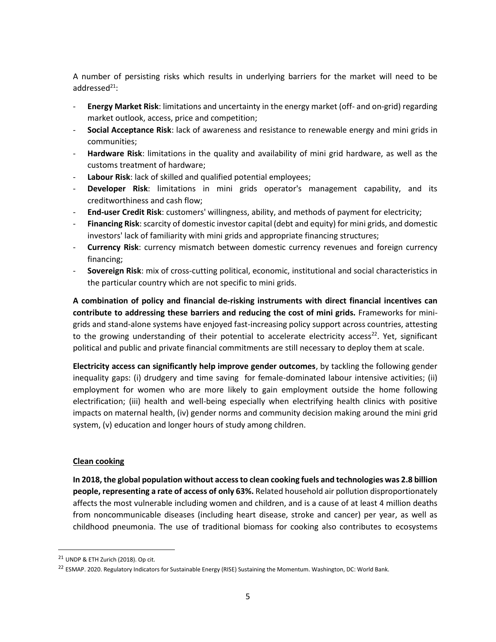A number of persisting risks which results in underlying barriers for the market will need to be addressed $^{21}$ :

- **Energy Market Risk**: limitations and uncertainty in the energy market (off- and on-grid) regarding market outlook, access, price and competition;
- **Social Acceptance Risk**: lack of awareness and resistance to renewable energy and mini grids in communities;
- **Hardware Risk**: limitations in the quality and availability of mini grid hardware, as well as the customs treatment of hardware;
- **Labour Risk**: lack of skilled and qualified potential employees;
- **Developer Risk**: limitations in mini grids operator's management capability, and its creditworthiness and cash flow;
- **End-user Credit Risk**: customers' willingness, ability, and methods of payment for electricity;
- **Financing Risk**: scarcity of domestic investor capital (debt and equity) for mini grids, and domestic investors' lack of familiarity with mini grids and appropriate financing structures;
- **Currency Risk**: currency mismatch between domestic currency revenues and foreign currency financing;
- **Sovereign Risk**: mix of cross-cutting political, economic, institutional and social characteristics in the particular country which are not specific to mini grids.

**A combination of policy and financial de-risking instruments with direct financial incentives can contribute to addressing these barriers and reducing the cost of mini grids.** Frameworks for minigrids and stand-alone systems have enjoyed fast-increasing policy support across countries, attesting to the growing understanding of their potential to accelerate electricity access<sup>22</sup>. Yet, significant political and public and private financial commitments are still necessary to deploy them at scale.

**Electricity access can significantly help improve gender outcomes**, by tackling the following gender inequality gaps: (i) drudgery and time saving for female-dominated labour intensive activities; (ii) employment for women who are more likely to gain employment outside the home following electrification; (iii) health and well-being especially when electrifying health clinics with positive impacts on maternal health, (iv) gender norms and community decision making around the mini grid system, (v) education and longer hours of study among children.

#### **Clean cooking**

**In 2018, the global population without access to clean cooking fuels and technologies was 2.8 billion people, representing a rate of access of only 63%.** Related household air pollution disproportionately affects the most vulnerable including women and children, and is a cause of at least 4 million deaths from noncommunicable diseases (including heart disease, stroke and cancer) per year, as well as childhood pneumonia. The use of traditional biomass for cooking also contributes to ecosystems

<sup>21</sup> UNDP & ETH Zurich (2018). Op cit.

<sup>&</sup>lt;sup>22</sup> ESMAP. 2020. Regulatory Indicators for Sustainable Energy (RISE) Sustaining the Momentum. Washington, DC: World Bank.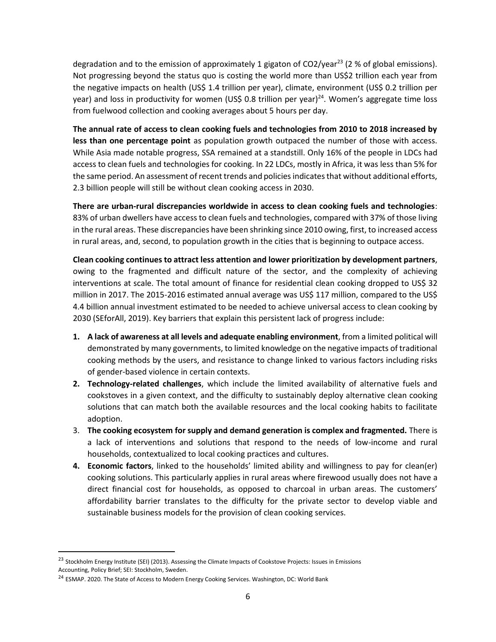degradation and to the emission of approximately 1 gigaton of  $CO2/year^{23}$  (2 % of global emissions). Not progressing beyond the status quo is costing the world more than US\$2 trillion each year from the negative impacts on health (US\$ 1.4 trillion per year), climate, environment (US\$ 0.2 trillion per year) and loss in productivity for women (US\$ 0.8 trillion per year)<sup>24</sup>. Women's aggregate time loss from fuelwood collection and cooking averages about 5 hours per day.

**The annual rate of access to clean cooking fuels and technologies from 2010 to 2018 increased by less than one percentage point** as population growth outpaced the number of those with access. While Asia made notable progress, SSA remained at a standstill. Only 16% of the people in LDCs had access to clean fuels and technologies for cooking. In 22 LDCs, mostly in Africa, it was less than 5% for the same period. An assessment of recent trends and policies indicates that without additional efforts, 2.3 billion people will still be without clean cooking access in 2030.

**There are urban-rural discrepancies worldwide in access to clean cooking fuels and technologies**: 83% of urban dwellers have access to clean fuels and technologies, compared with 37% of those living in the rural areas. These discrepancies have been shrinking since 2010 owing, first, to increased access in rural areas, and, second, to population growth in the cities that is beginning to outpace access.

**Clean cooking continues to attract less attention and lower prioritization by development partners**, owing to the fragmented and difficult nature of the sector, and the complexity of achieving interventions at scale. The total amount of finance for residential clean cooking dropped to US\$ 32 million in 2017. The 2015-2016 estimated annual average was US\$ 117 million, compared to the US\$ 4.4 billion annual investment estimated to be needed to achieve universal access to clean cooking by 2030 (SEforAll, 2019). Key barriers that explain this persistent lack of progress include:

- **1. A lack of awareness at all levels and adequate enabling environment**, from a limited political will demonstrated by many governments, to limited knowledge on the negative impacts of traditional cooking methods by the users, and resistance to change linked to various factors including risks of gender-based violence in certain contexts.
- **2. Technology-related challenges**, which include the limited availability of alternative fuels and cookstoves in a given context, and the difficulty to sustainably deploy alternative clean cooking solutions that can match both the available resources and the local cooking habits to facilitate adoption.
- 3. **The cooking ecosystem for supply and demand generation is complex and fragmented.** There is a lack of interventions and solutions that respond to the needs of low-income and rural households, contextualized to local cooking practices and cultures.
- **4. Economic factors**, linked to the households' limited ability and willingness to pay for clean(er) cooking solutions. This particularly applies in rural areas where firewood usually does not have a direct financial cost for households, as opposed to charcoal in urban areas. The customers' affordability barrier translates to the difficulty for the private sector to develop viable and sustainable business models for the provision of clean cooking services.

<sup>&</sup>lt;sup>23</sup> Stockholm Energy Institute (SEI) (2013). Assessing the Climate Impacts of Cookstove Projects: Issues in Emissions Accounting, Policy Brief; SEI: Stockholm, Sweden.

<sup>&</sup>lt;sup>24</sup> ESMAP. 2020. The State of Access to Modern Energy Cooking Services. Washington, DC: World Bank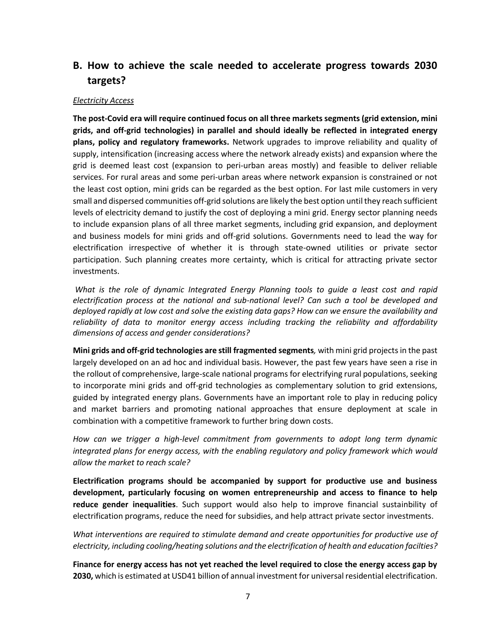# **B. How to achieve the scale needed to accelerate progress towards 2030 targets?**

#### *Electricity Access*

**The post-Covid era will require continued focus on all three markets segments(grid extension, mini grids, and off-grid technologies) in parallel and should ideally be reflected in integrated energy plans, policy and regulatory frameworks.** Network upgrades to improve reliability and quality of supply, intensification (increasing access where the network already exists) and expansion where the grid is deemed least cost (expansion to peri-urban areas mostly) and feasible to deliver reliable services. For rural areas and some peri-urban areas where network expansion is constrained or not the least cost option, mini grids can be regarded as the best option. For last mile customers in very small and dispersed communities off-grid solutions are likely the best option until they reach sufficient levels of electricity demand to justify the cost of deploying a mini grid. Energy sector planning needs to include expansion plans of all three market segments, including grid expansion, and deployment and business models for mini grids and off-grid solutions. Governments need to lead the way for electrification irrespective of whether it is through state-owned utilities or private sector participation. Such planning creates more certainty, which is critical for attracting private sector investments.

*What is the role of dynamic Integrated Energy Planning tools to guide a least cost and rapid electrification process at the national and sub-national level? Can such a tool be developed and deployed rapidly at low cost and solve the existing data gaps? How can we ensure the availability and reliability of data to monitor energy access including tracking the reliability and affordability dimensions of access and gender considerations?*

**Mini grids and off-grid technologies are still fragmented segments***,* with mini grid projects in the past largely developed on an ad hoc and individual basis. However, the past few years have seen a rise in the rollout of comprehensive, large-scale national programs for electrifying rural populations, seeking to incorporate mini grids and off-grid technologies as complementary solution to grid extensions, guided by integrated energy plans. Governments have an important role to play in reducing policy and market barriers and promoting national approaches that ensure deployment at scale in combination with a competitive framework to further bring down costs.

*How can we trigger a high-level commitment from governments to adopt long term dynamic integrated plans for energy access, with the enabling regulatory and policy framework which would allow the market to reach scale?*

**Electrification programs should be accompanied by support for productive use and business development, particularly focusing on women entrepreneurship and access to finance to help reduce gender inequalities**. Such support would also help to improve financial sustainbility of electrification programs, reduce the need for subsidies, and help attract private sector investments.

*What interventions are required to stimulate demand and create opportunities for productive use of electricity, including cooling/heating solutions and the electrification of health and education facilties?*

**Finance for energy access has not yet reached the level required to close the energy access gap by 2030,** which is estimated at USD41 billion of annual investment for universal residential electrification.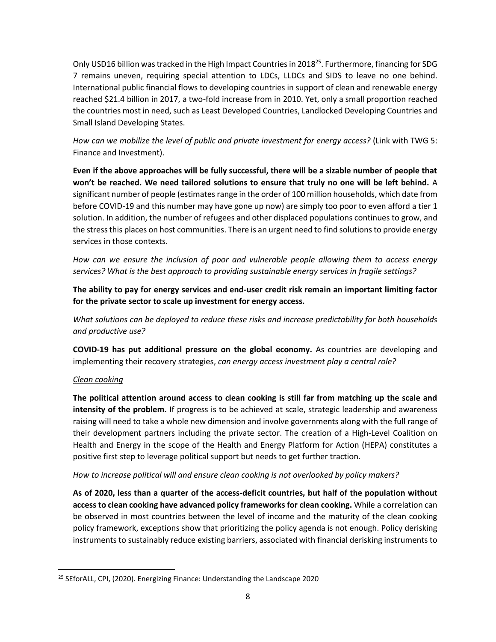Only USD16 billion was tracked in the High Impact Countries in 2018<sup>25</sup>. Furthermore, financing for SDG 7 remains uneven, requiring special attention to LDCs, LLDCs and SIDS to leave no one behind. International public financial flows to developing countries in support of clean and renewable energy reached \$21.4 billion in 2017, a two-fold increase from in 2010. Yet, only a small proportion reached the countries most in need, such as Least Developed Countries, Landlocked Developing Countries and Small Island Developing States.

*How can we mobilize the level of public and private investment for energy access?* (Link with TWG 5: Finance and Investment).

**Even if the above approaches will be fully successful, there will be a sizable number of people that won't be reached. We need tailored solutions to ensure that truly no one will be left behind.** A significant number of people (estimates range in the order of 100 million households, which date from before COVID-19 and this number may have gone up now) are simply too poor to even afford a tier 1 solution. In addition, the number of refugees and other displaced populations continues to grow, and the stress this places on host communities. There is an urgent need to find solutions to provide energy services in those contexts.

*How can we ensure the inclusion of poor and vulnerable people allowing them to access energy services? What is the best approach to providing sustainable energy services in fragile settings?*

**The ability to pay for energy services and end-user credit risk remain an important limiting factor for the private sector to scale up investment for energy access.**

*What solutions can be deployed to reduce these risks and increase predictability for both households and productive use?* 

**COVID-19 has put additional pressure on the global economy.** As countries are developing and implementing their recovery strategies, *can energy access investment play a central role?*

#### *Clean cooking*

**The political attention around access to clean cooking is still far from matching up the scale and intensity of the problem.** If progress is to be achieved at scale, strategic leadership and awareness raising will need to take a whole new dimension and involve governments along with the full range of their development partners including the private sector. The creation of a High-Level Coalition on Health and Energy in the scope of the Health and Energy Platform for Action (HEPA) constitutes a positive first step to leverage political support but needs to get further traction.

*How to increase political will and ensure clean cooking is not overlooked by policy makers?*

**As of 2020, less than a quarter of the access-deficit countries, but half of the population without access to clean cooking have advanced policy frameworks for clean cooking.** While a correlation can be observed in most countries between the level of income and the maturity of the clean cooking policy framework, exceptions show that prioritizing the policy agenda is not enough. Policy derisking instruments to sustainably reduce existing barriers, associated with financial derisking instruments to

<sup>&</sup>lt;sup>25</sup> SEforALL, CPI, (2020). Energizing Finance: Understanding the Landscape 2020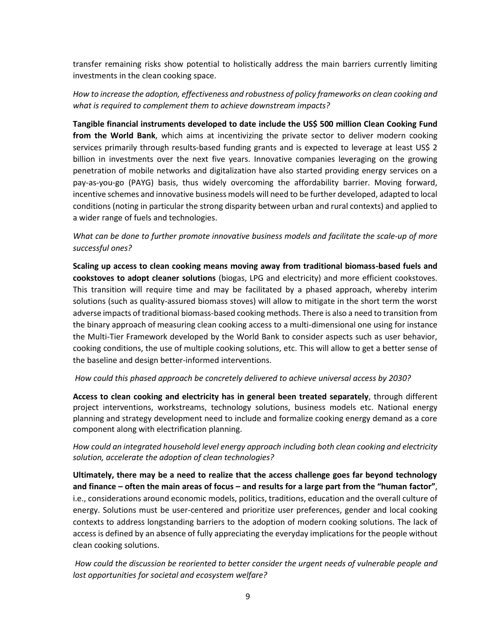transfer remaining risks show potential to holistically address the main barriers currently limiting investments in the clean cooking space.

*How to increase the adoption, effectiveness and robustness of policy frameworks on clean cooking and what is required to complement them to achieve downstream impacts?* 

**Tangible financial instruments developed to date include the US\$ 500 million Clean Cooking Fund from the World Bank**, which aims at incentivizing the private sector to deliver modern cooking services primarily through results-based funding grants and is expected to leverage at least US\$ 2 billion in investments over the next five years. Innovative companies leveraging on the growing penetration of mobile networks and digitalization have also started providing energy services on a pay-as-you-go (PAYG) basis, thus widely overcoming the affordability barrier. Moving forward, incentive schemes and innovative business models will need to be further developed, adapted to local conditions (noting in particular the strong disparity between urban and rural contexts) and applied to a wider range of fuels and technologies.

*What can be done to further promote innovative business models and facilitate the scale-up of more successful ones?* 

**Scaling up access to clean cooking means moving away from traditional biomass-based fuels and cookstoves to adopt cleaner solutions** (biogas, LPG and electricity) and more efficient cookstoves. This transition will require time and may be facilitated by a phased approach, whereby interim solutions (such as quality-assured biomass stoves) will allow to mitigate in the short term the worst adverse impacts of traditional biomass-based cooking methods. There is also a need to transition from the binary approach of measuring clean cooking access to a multi-dimensional one using for instance the Multi-Tier Framework developed by the World Bank to consider aspects such as user behavior, cooking conditions, the use of multiple cooking solutions, etc. This will allow to get a better sense of the baseline and design better-informed interventions.

#### *How could this phased approach be concretely delivered to achieve universal access by 2030?*

**Access to clean cooking and electricity has in general been treated separately**, through different project interventions, workstreams, technology solutions, business models etc. National energy planning and strategy development need to include and formalize cooking energy demand as a core component along with electrification planning.

*How could an integrated household level energy approach including both clean cooking and electricity solution, accelerate the adoption of clean technologies?*

**Ultimately, there may be a need to realize that the access challenge goes far beyond technology and finance – often the main areas of focus – and results for a large part from the "human factor"**, i.e., considerations around economic models, politics, traditions, education and the overall culture of energy. Solutions must be user-centered and prioritize user preferences, gender and local cooking contexts to address longstanding barriers to the adoption of modern cooking solutions. The lack of access is defined by an absence of fully appreciating the everyday implications for the people without clean cooking solutions.

*How could the discussion be reoriented to better consider the urgent needs of vulnerable people and lost opportunities for societal and ecosystem welfare?*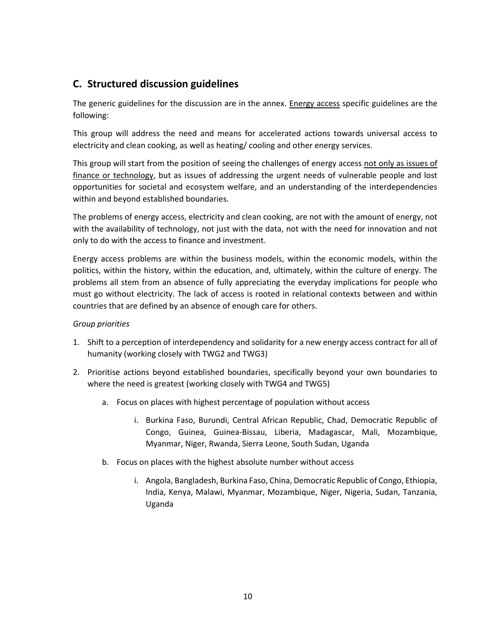# **C. Structured discussion guidelines**

The generic guidelines for the discussion are in the annex. Energy access specific guidelines are the following:

This group will address the need and means for accelerated actions towards universal access to electricity and clean cooking, as well as heating/ cooling and other energy services.

This group will start from the position of seeing the challenges of energy access not only as issues of finance or technology, but as issues of addressing the urgent needs of vulnerable people and lost opportunities for societal and ecosystem welfare, and an understanding of the interdependencies within and beyond established boundaries.

The problems of energy access, electricity and clean cooking, are not with the amount of energy, not with the availability of technology, not just with the data, not with the need for innovation and not only to do with the access to finance and investment.

Energy access problems are within the business models, within the economic models, within the politics, within the history, within the education, and, ultimately, within the culture of energy. The problems all stem from an absence of fully appreciating the everyday implications for people who must go without electricity. The lack of access is rooted in relational contexts between and within countries that are defined by an absence of enough care for others.

#### *Group priorities*

- 1. Shift to a perception of interdependency and solidarity for a new energy access contract for all of humanity (working closely with TWG2 and TWG3)
- 2. Prioritise actions beyond established boundaries, specifically beyond your own boundaries to where the need is greatest (working closely with TWG4 and TWG5)
	- a. Focus on places with highest percentage of population without access
		- i. Burkina Faso, Burundi, Central African Republic, Chad, Democratic Republic of Congo, Guinea, Guinea-Bissau, Liberia, Madagascar, Mali, Mozambique, Myanmar, Niger, Rwanda, Sierra Leone, South Sudan, Uganda
	- b. Focus on places with the highest absolute number without access
		- i. Angola, Bangladesh, Burkina Faso, China, Democratic Republic of Congo, Ethiopia, India, Kenya, Malawi, Myanmar, Mozambique, Niger, Nigeria, Sudan, Tanzania, Uganda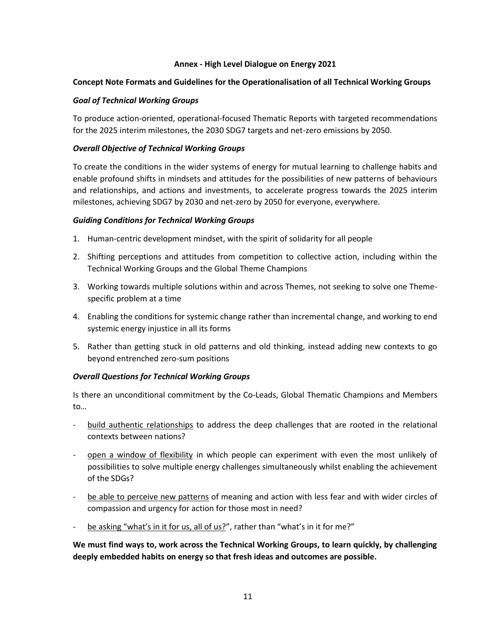#### **Annex - High Level Dialogue on Energy 2021**

#### **Concept Note Formats and Guidelines for the Operationalisation of all Technical Working Groups**

#### *Goal of Technical Working Groups*

To produce action-oriented, operational-focused Thematic Reports with targeted recommendations for the 2025 interim milestones, the 2030 SDG7 targets and net-zero emissions by 2050.

#### *Overall Objective of Technical Working Groups*

To create the conditions in the wider systems of energy for mutual learning to challenge habits and enable profound shifts in mindsets and attitudes for the possibilities of new patterns of behaviours and relationships, and actions and investments, to accelerate progress towards the 2025 interim milestones, achieving SDG7 by 2030 and net-zero by 2050 for everyone, everywhere.

#### *Guiding Conditions for Technical Working Groups*

- 1. Human-centric development mindset, with the spirit of solidarity for all people
- 2. Shifting perceptions and attitudes from competition to collective action, including within the Technical Working Groups and the Global Theme Champions
- 3. Working towards multiple solutions within and across Themes, not seeking to solve one Themespecific problem at a time
- 4. Enabling the conditions for systemic change rather than incremental change, and working to end systemic energy injustice in all its forms
- 5. Rather than getting stuck in old patterns and old thinking, instead adding new contexts to go beyond entrenched zero-sum positions

#### *Overall Questions for Technical Working Groups*

Is there an unconditional commitment by the Co-Leads, Global Thematic Champions and Members to…

- build authentic relationships to address the deep challenges that are rooted in the relational contexts between nations?
- open a window of flexibility in which people can experiment with even the most unlikely of possibilities to solve multiple energy challenges simultaneously whilst enabling the achievement of the SDGs?
- be able to perceive new patterns of meaning and action with less fear and with wider circles of compassion and urgency for action for those most in need?
- be asking "what's in it for us, all of us?", rather than "what's in it for me?"

**We must find ways to, work across the Technical Working Groups, to learn quickly, by challenging deeply embedded habits on energy so that fresh ideas and outcomes are possible.**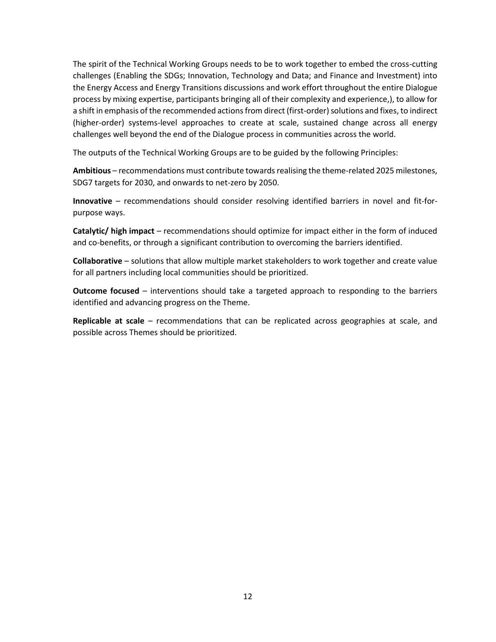The spirit of the Technical Working Groups needs to be to work together to embed the cross-cutting challenges (Enabling the SDGs; Innovation, Technology and Data; and Finance and Investment) into the Energy Access and Energy Transitions discussions and work effort throughout the entire Dialogue process by mixing expertise, participants bringing all of their complexity and experience,), to allow for a shift in emphasis of the recommended actions from direct (first-order) solutions and fixes, to indirect (higher-order) systems-level approaches to create at scale, sustained change across all energy challenges well beyond the end of the Dialogue process in communities across the world.

The outputs of the Technical Working Groups are to be guided by the following Principles:

**Ambitious** – recommendations must contribute towards realising the theme-related 2025 milestones, SDG7 targets for 2030, and onwards to net-zero by 2050.

**Innovative** – recommendations should consider resolving identified barriers in novel and fit-forpurpose ways.

**Catalytic/ high impact** – recommendations should optimize for impact either in the form of induced and co-benefits, or through a significant contribution to overcoming the barriers identified.

**Collaborative** – solutions that allow multiple market stakeholders to work together and create value for all partners including local communities should be prioritized.

**Outcome focused** – interventions should take a targeted approach to responding to the barriers identified and advancing progress on the Theme.

**Replicable at scale** – recommendations that can be replicated across geographies at scale, and possible across Themes should be prioritized.